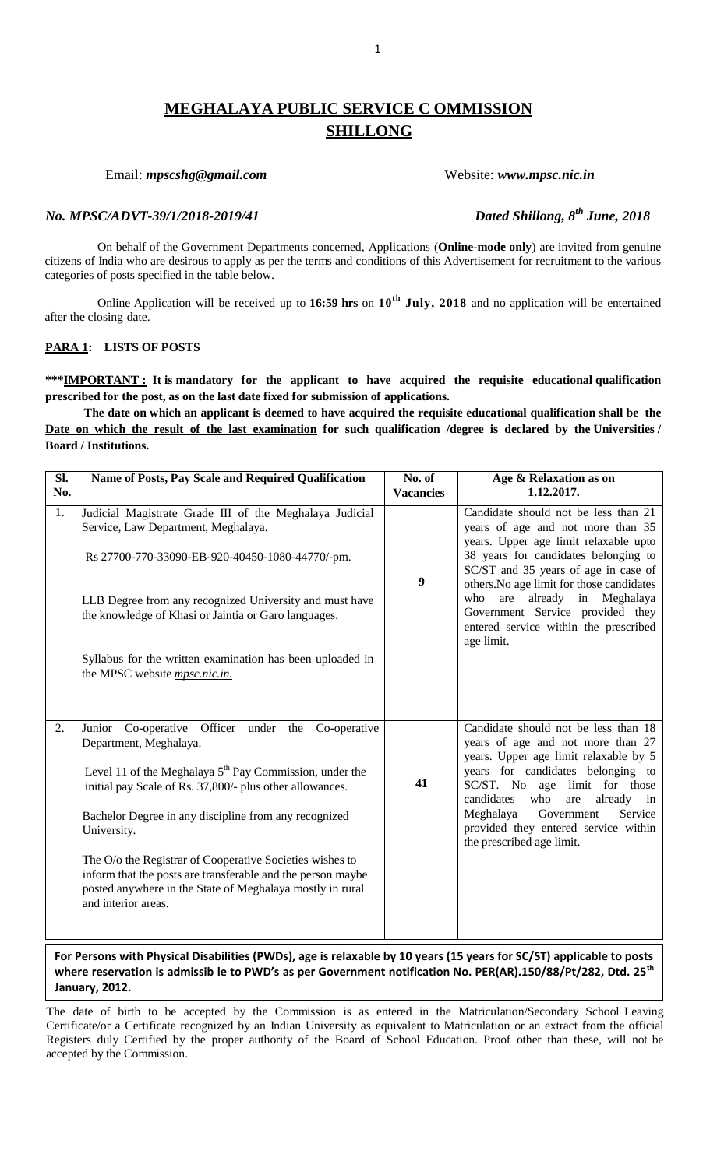# **MEGHALAYA PUBLIC SERVICE C OMMISSION SHILLONG**

Email: *mpscshg@gmail.com* Website: *www.mpsc.nic.in* 

# *No. MPSC/ADVT-39/1/2018-2019/41*

On behalf of the Government Departments concerned, Applications (**Online-mode only**) are invited from genuine citizens of India who are desirous to apply as per the terms and conditions of this Advertisement for recruitment to the various categories of posts specified in the table below.

Online Application will be received up to **16:59 hrs** on **10th July, 2018** and no application will be entertained after the closing date.

# **PARA 1: LISTS OF POSTS**

**\*\*\*IMPORTANT : It is mandatory for the applicant to have acquired the requisite educational qualification prescribed for the post, as on the last date fixed for submission of applications.**

**The date on which an applicant is deemed to have acquired the requisite educational qualification shall be the Date on which the result of the last examination for such qualification /degree is declared by the Universities / Board / Institutions.**

| Name of Posts, Pay Scale and Required Qualification                                                                                                                                                         | No. of<br><b>Vacancies</b> | Age & Relaxation as on<br>1.12.2017.                                                                                          |
|-------------------------------------------------------------------------------------------------------------------------------------------------------------------------------------------------------------|----------------------------|-------------------------------------------------------------------------------------------------------------------------------|
| Judicial Magistrate Grade III of the Meghalaya Judicial<br>Service, Law Department, Meghalaya.                                                                                                              |                            | Candidate should not be less than 21<br>years of age and not more than 35<br>years. Upper age limit relaxable upto            |
| Rs 27700-770-33090-EB-920-40450-1080-44770/-pm.                                                                                                                                                             | 9                          | 38 years for candidates belonging to<br>SC/ST and 35 years of age in case of<br>others. No age limit for those candidates     |
| LLB Degree from any recognized University and must have<br>the knowledge of Khasi or Jaintia or Garo languages.                                                                                             |                            | already in Meghalaya<br>who<br>are<br>Government Service provided they<br>entered service within the prescribed<br>age limit. |
| Syllabus for the written examination has been uploaded in<br>the MPSC website <i>mpsc.nic.in.</i>                                                                                                           |                            |                                                                                                                               |
| Junior Co-operative Officer under the Co-operative<br>Department, Meghalaya.                                                                                                                                |                            | Candidate should not be less than 18<br>years of age and not more than 27<br>years. Upper age limit relaxable by 5            |
| Level 11 of the Meghalaya $5th$ Pay Commission, under the<br>initial pay Scale of Rs. 37,800/- plus other allowances.                                                                                       | 41                         | years for candidates belonging to<br>SC/ST. No age limit for those<br>candidates<br>who<br>are<br>already in                  |
| Bachelor Degree in any discipline from any recognized<br>University.                                                                                                                                        |                            | Meghalaya<br>Government<br>Service<br>provided they entered service within<br>the prescribed age limit.                       |
| The O/o the Registrar of Cooperative Societies wishes to<br>inform that the posts are transferable and the person maybe<br>posted anywhere in the State of Meghalaya mostly in rural<br>and interior areas. |                            |                                                                                                                               |
|                                                                                                                                                                                                             |                            |                                                                                                                               |

**For Persons with Physical Disabilities (PWDs), age is relaxable by 10 years (15 years for SC/ST) applicable to posts where reservation is admissib le to PWD's as per Government notification No. PER(AR).150/88/Pt/282, Dtd. 25th January, 2012.**

The date of birth to be accepted by the Commission is as entered in the Matriculation/Secondary School Leaving Certificate/or a Certificate recognized by an Indian University as equivalent to Matriculation or an extract from the official Registers duly Certified by the proper authority of the Board of School Education. Proof other than these, will not be accepted by the Commission.

*Dated Shillong, 8<sup>th</sup> June, 2018*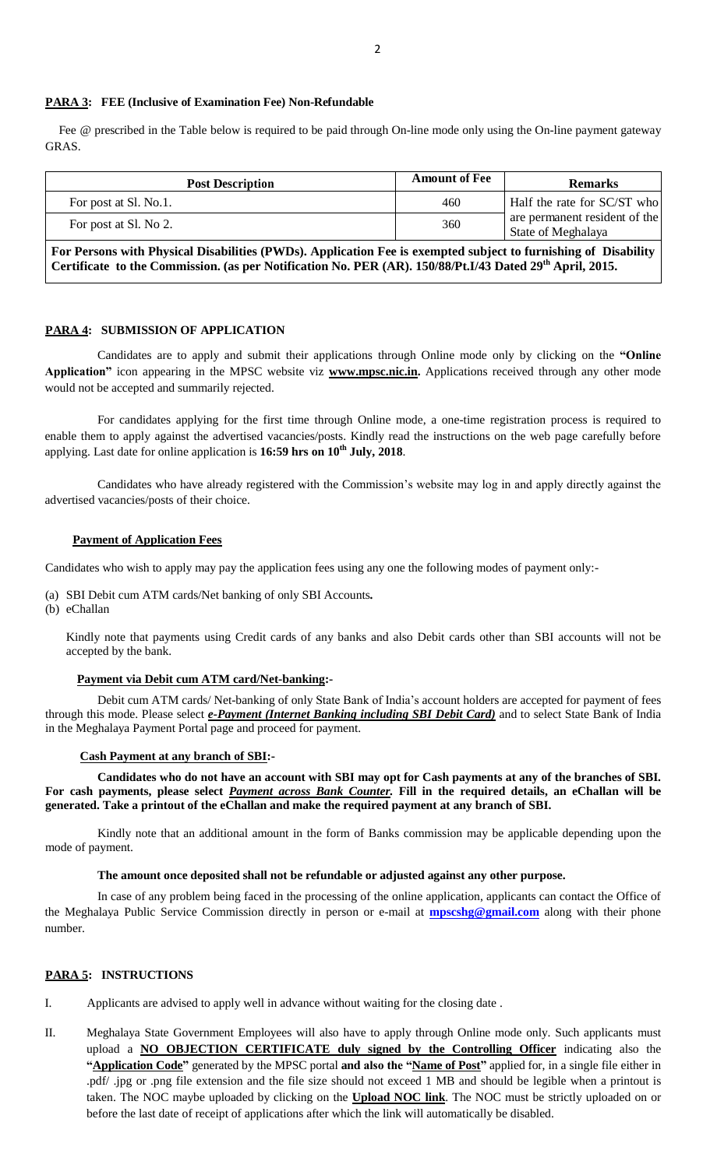### **PARA 3: FEE (Inclusive of Examination Fee) Non-Refundable**

Fee @ prescribed in the Table below is required to be paid through On-line mode only using the On-line payment gateway GRAS.

| <b>Post Description</b> | <b>Amount of Fee</b> | <b>Remarks</b>                                      |
|-------------------------|----------------------|-----------------------------------------------------|
| For post at Sl. No.1.   | 460                  | Half the rate for SC/ST who                         |
| For post at Sl. No 2.   | 360                  | are permanent resident of the<br>State of Meghalaya |

**For Persons with Physical Disabilities (PWDs). Application Fee is exempted subject to furnishing of Disability Certificate to the Commission. (as per Notification No. PER (AR). 150/88/Pt.I/43 Dated 29th April, 2015.**

#### **PARA 4: SUBMISSION OF APPLICATION**

 Candidates are to apply and submit their applications through Online mode only by clicking on the **"Online Application"** icon appearing in the MPSC website viz **www.mpsc.nic.in.** Applications received through any other mode would not be accepted and summarily rejected.

For candidates applying for the first time through Online mode, a one-time registration process is required to enable them to apply against the advertised vacancies/posts. Kindly read the instructions on the web page carefully before applying. Last date for online application is **16:59 hrs on 10 th July, 2018**.

 Candidates who have already registered with the Commission's website may log in and apply directly against the advertised vacancies/posts of their choice.

#### **Payment of Application Fees**

Candidates who wish to apply may pay the application fees using any one the following modes of payment only:-

- (a) SBI Debit cum ATM cards/Net banking of only SBI Accounts*.*
- (b) eChallan

Kindly note that payments using Credit cards of any banks and also Debit cards other than SBI accounts will not be accepted by the bank.

#### **Payment via Debit cum ATM card/Net-banking:-**

Debit cum ATM cards/ Net-banking of only State Bank of India's account holders are accepted for payment of fees through this mode. Please select *e-Payment (Internet Banking including SBI Debit Card)* and to select State Bank of India in the Meghalaya Payment Portal page and proceed for payment.

#### **Cash Payment at any branch of SBI:-**

**Candidates who do not have an account with SBI may opt for Cash payments at any of the branches of SBI. For cash payments, please select** *Payment across Bank Counter.* **Fill in the required details, an eChallan will be generated. Take a printout of the eChallan and make the required payment at any branch of SBI.**

Kindly note that an additional amount in the form of Banks commission may be applicable depending upon the mode of payment.

#### **The amount once deposited shall not be refundable or adjusted against any other purpose.**

 In case of any problem being faced in the processing of the online application, applicants can contact the Office of the Meghalaya Public Service Commission directly in person or e-mail at **[mpscshg@gmail.com](mailto:mpscshg@gmail.com)** along with their phone number.

#### **PARA 5: INSTRUCTIONS**

I. Applicants are advised to apply well in advance without waiting for the closing date .

II. Meghalaya State Government Employees will also have to apply through Online mode only. Such applicants must upload a **NO OBJECTION CERTIFICATE duly signed by the Controlling Officer** indicating also the **"Application Code"** generated by the MPSC portal **and also the "Name of Post"** applied for, in a single file either in .pdf/ .jpg or .png file extension and the file size should not exceed 1 MB and should be legible when a printout is taken. The NOC maybe uploaded by clicking on the **Upload NOC link**. The NOC must be strictly uploaded on or before the last date of receipt of applications after which the link will automatically be disabled.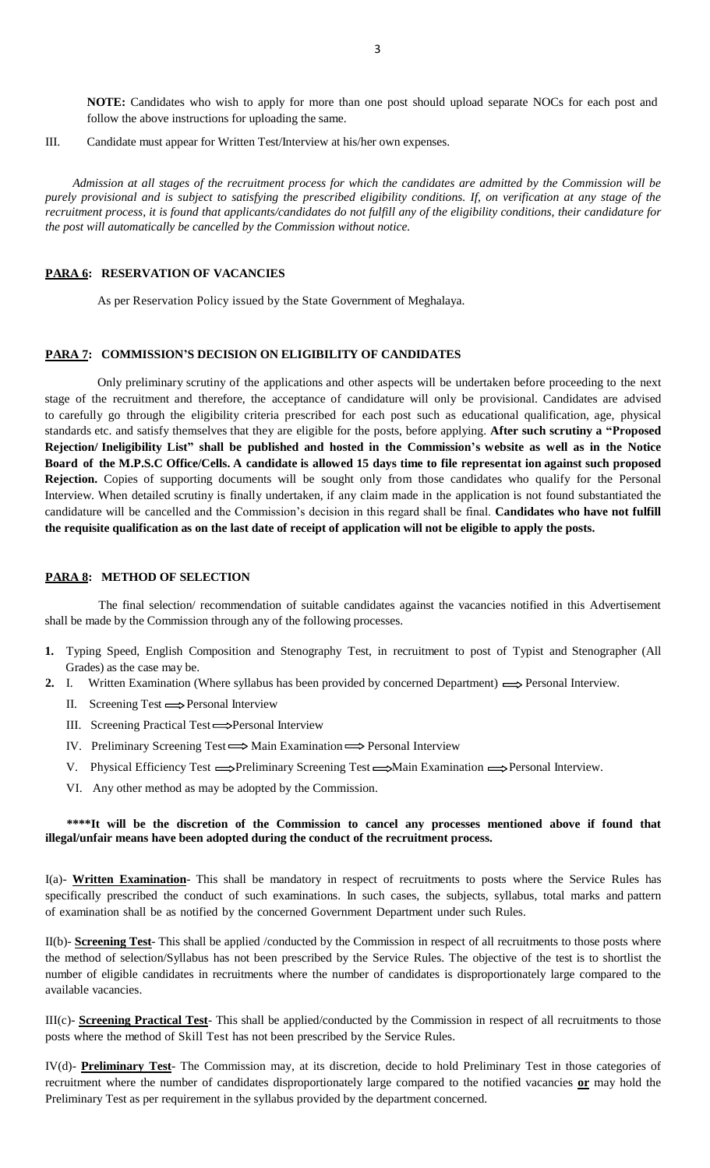**NOTE:** Candidates who wish to apply for more than one post should upload separate NOCs for each post and follow the above instructions for uploading the same.

III. Candidate must appear for Written Test/Interview at his/her own expenses.

 *Admission at all stages of the recruitment process for which the candidates are admitted by the Commission will be purely provisional and is subject to satisfying the prescribed eligibility conditions. If, on verification at any stage of the recruitment process, it is found that applicants/candidates do not fulfill any of the eligibility conditions, their candidature for the post will automatically be cancelled by the Commission without notice.*

#### **PARA 6: RESERVATION OF VACANCIES**

As per Reservation Policy issued by the State Government of Meghalaya.

# **PARA 7: COMMISSION'S DECISION ON ELIGIBILITY OF CANDIDATES**

Only preliminary scrutiny of the applications and other aspects will be undertaken before proceeding to the next stage of the recruitment and therefore, the acceptance of candidature will only be provisional. Candidates are advised to carefully go through the eligibility criteria prescribed for each post such as educational qualification, age, physical standards etc. and satisfy themselves that they are eligible for the posts, before applying. **After such scrutiny a "Proposed** Rejection/Ineligibility List" shall be published and hosted in the Commission's website as well as in the Notice Board of the M.P.S.C Office/Cells. A candidate is allowed 15 days time to file representat ion against such proposed **Rejection.** Copies of supporting documents will be sought only from those candidates who qualify for the Personal Interview. When detailed scrutiny is finally undertaken, if any claim made in the application is not found substantiated the candidature will be cancelled and the Commission's decision in this regard shall be final. **Candidates who have not fulfill the requisite qualification as on the last date of receipt of application will not be eligible to apply the posts.**

#### **PARA 8: METHOD OF SELECTION**

 The final selection/ recommendation of suitable candidates against the vacancies notified in this Advertisement shall be made by the Commission through any of the following processes.

- **1.** Typing Speed, English Composition and Stenography Test, in recruitment to post of Typist and Stenographer (All Grades) as the case may be.
- 2. I. Written Examination (Where syllabus has been provided by concerned Department)  $\Longrightarrow$  Personal Interview.
	- II. Screening Test  $\Longrightarrow$  Personal Interview
	- III. Screening Practical Test 
	ightarrow Personal Interview
	- IV. Preliminary Screening Test  $\Longrightarrow$  Main Examination  $\Longrightarrow$  Personal Interview
	- V. Physical Efficiency Test  $\implies$ Preliminary Screening Test  $\implies$ Main Examination  $\implies$ Personal Interview.
	- VI. Any other method as may be adopted by the Commission.

## **\*\*\*\*It will be the discretion of the Commission to cancel any processes mentioned above if found that illegal/unfair means have been adopted during the conduct of the recruitment process.**

I(a)- **Written Examination**- This shall be mandatory in respect of recruitments to posts where the Service Rules has specifically prescribed the conduct of such examinations. In such cases, the subjects, syllabus, total marks and pattern of examination shall be as notified by the concerned Government Department under such Rules.

II(b)- **Screening Test**- This shall be applied /conducted by the Commission in respect of all recruitments to those posts where the method of selection/Syllabus has not been prescribed by the Service Rules. The objective of the test is to shortlist the number of eligible candidates in recruitments where the number of candidates is disproportionately large compared to the available vacancies.

III(c)- **Screening Practical Test**- This shall be applied/conducted by the Commission in respect of all recruitments to those posts where the method of Skill Test has not been prescribed by the Service Rules.

IV(d)- **Preliminary Test**- The Commission may, at its discretion, decide to hold Preliminary Test in those categories of recruitment where the number of candidates disproportionately large compared to the notified vacancies **or** may hold the Preliminary Test as per requirement in the syllabus provided by the department concerned.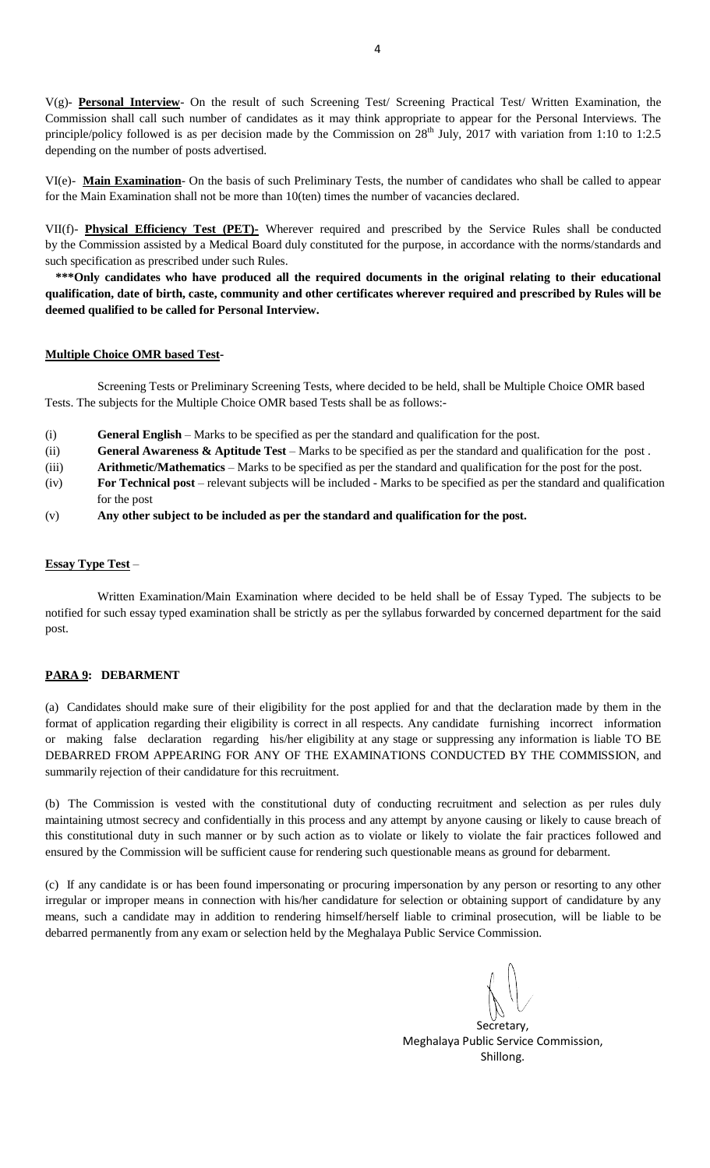V(g)- **Personal Interview**- On the result of such Screening Test/ Screening Practical Test/ Written Examination, the Commission shall call such number of candidates as it may think appropriate to appear for the Personal Interviews. The principle/policy followed is as per decision made by the Commission on  $28^{th}$  July, 2017 with variation from 1:10 to 1:2.5 depending on the number of posts advertised.

VI(e)- **Main Examination**- On the basis of such Preliminary Tests, the number of candidates who shall be called to appear for the Main Examination shall not be more than 10(ten) times the number of vacancies declared.

VII(f)- **Physical Efficiency Test (PET)-** Wherever required and prescribed by the Service Rules shall be conducted by the Commission assisted by a Medical Board duly constituted for the purpose, in accordance with the norms/standards and such specification as prescribed under such Rules.

**\*\*\*Only candidates who have produced all the required documents in the original relating to their educational qualification, date of birth, caste, community and other certificates wherever required and prescribed by Rules will be deemed qualified to be called for Personal Interview.**

## **Multiple Choice OMR based Test-**

Screening Tests or Preliminary Screening Tests, where decided to be held, shall be Multiple Choice OMR based Tests. The subjects for the Multiple Choice OMR based Tests shall be as follows:-

- (i) **General English** Marks to be specified as per the standard and qualification for the post.
- (ii) **General Awareness & Aptitude Test** Marks to be specified as per the standard and qualification for the post .

(iii) **Arithmetic/Mathematics** – Marks to be specified as per the standard and qualification for the post for the post.

- (iv) **For Technical post** relevant subjects will be included Marks to be specified as per the standard and qualification for the post
- (v) **Any other subject to be included as per the standard and qualification for the post.**

# **Essay Type Test** –

Written Examination/Main Examination where decided to be held shall be of Essay Typed. The subjects to be notified for such essay typed examination shall be strictly as per the syllabus forwarded by concerned department for the said post.

# **PARA 9: DEBARMENT**

(a) Candidates should make sure of their eligibility for the post applied for and that the declaration made by them in the format of application regarding their eligibility is correct in all respects. Any candidate furnishing incorrect information or making false declaration regarding his/her eligibility at any stage or suppressing any information is liable TO BE DEBARRED FROM APPEARING FOR ANY OF THE EXAMINATIONS CONDUCTED BY THE COMMISSION, and summarily rejection of their candidature for this recruitment.

(b) The Commission is vested with the constitutional duty of conducting recruitment and selection as per rules duly maintaining utmost secrecy and confidentially in this process and any attempt by anyone causing or likely to cause breach of this constitutional duty in such manner or by such action as to violate or likely to violate the fair practices followed and ensured by the Commission will be sufficient cause for rendering such questionable means as ground for debarment.

(c) If any candidate is or has been found impersonating or procuring impersonation by any person or resorting to any other irregular or improper means in connection with his/her candidature for selection or obtaining support of candidature by any means, such a candidate may in addition to rendering himself/herself liable to criminal prosecution, will be liable to be debarred permanently from any exam or selection held by the Meghalaya Public Service Commission.

Secretary, Meghalaya Public Service Commission, Shillong.